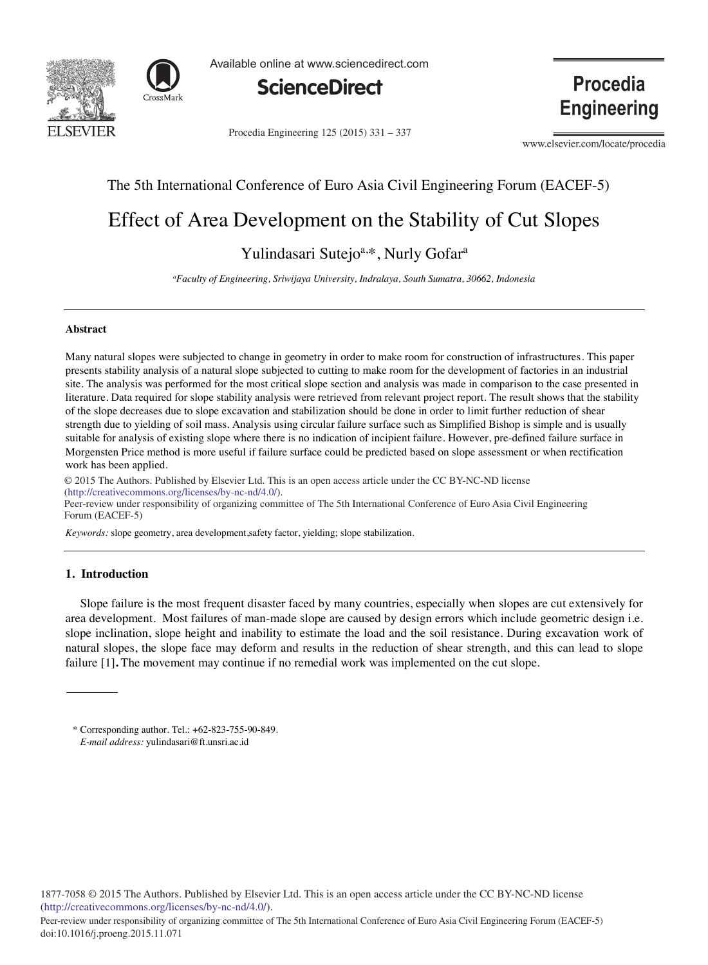



Available online at www.sciencedirect.com



Procedia Engineering 125 (2015) 331 - 337

www.elsevier.com/locate/procedia

**Procedia** 

**Engineering** 

# The 5th International Conference of Euro Asia Civil Engineering Forum (EACEF-5)

# Effect of Area Development on the Stability of Cut Slopes

# Yulindasari Sutejo<sup>a,\*</sup>, Nurly Gofar<sup>a</sup>

*a Faculty of Engineering, Sriwijaya University, Indralaya, South Sumatra, 30662, Indonesia*

#### **Abstract**

Many natural slopes were subjected to change in geometry in order to make room for construction of infrastructures. This paper presents stability analysis of a natural slope subjected to cutting to make room for the development of factories in an industrial site. The analysis was performed for the most critical slope section and analysis was made in comparison to the case presented in literature. Data required for slope stability analysis were retrieved from relevant project report. The result shows that the stability of the slope decreases due to slope excavation and stabilization should be done in order to limit further reduction of shear strength due to yielding of soil mass. Analysis using circular failure surface such as Simplified Bishop is simple and is usually suitable for analysis of existing slope where there is no indication of incipient failure. However, pre-defined failure surface in Morgensten Price method is more useful if failure surface could be predicted based on slope assessment or when rectification work has been applied.

© 2015 The Authors. Published by Elsevier Ltd. © 2015 The Authors. Published by Elsevier Ltd. This is an open access article under the CC BY-NC-ND license (http://creativecommons.org/licenses/by-nc-nd/4.0/).

Peer-review under responsibility of organizing committee of The 5th International Conference of Euro Asia Civil Engineering Forum (EACEF-5)

*Keywords:* slope geometry, area development,safety factor, yielding; slope stabilization.

## **1. Introduction**

Slope failure is the most frequent disaster faced by many countries, especially when slopes are cut extensively for area development. Most failures of man-made slope are caused by design errors which include geometric design i.e. slope inclination, slope height and inability to estimate the load and the soil resistance. During excavation work of natural slopes, the slope face may deform and results in the reduction of shear strength, and this can lead to slope failure [1]. The movement may continue if no remedial work was implemented on the cut slope.

<sup>\*</sup> Corresponding author. Tel.: +62-823-755-90-849. *E-mail address:* yulindasari@ft.unsri.ac.id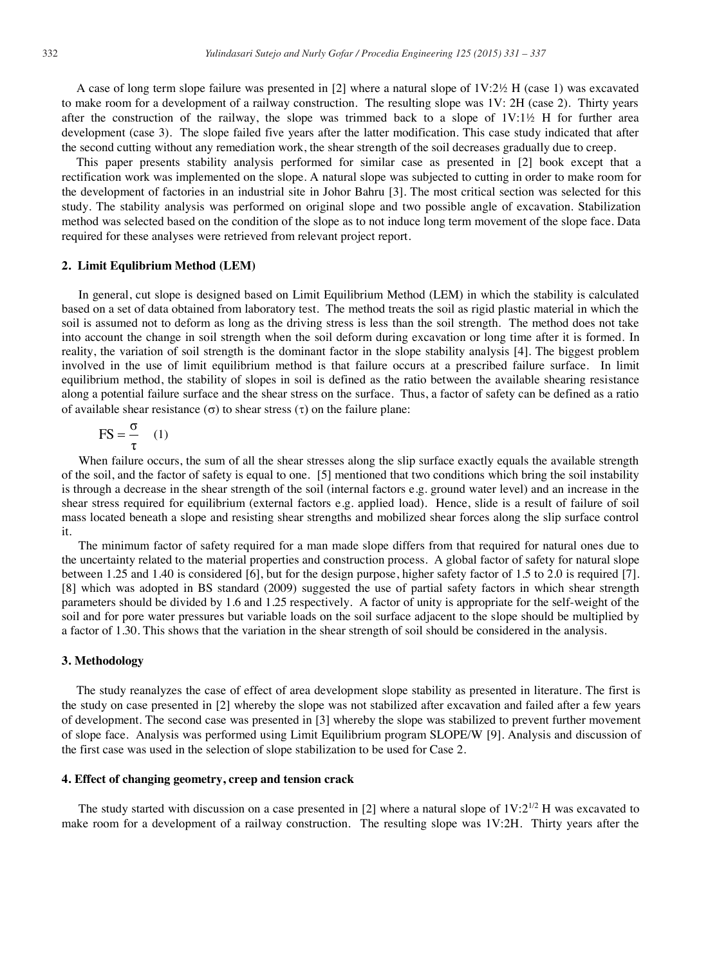A case of long term slope failure was presented in [2] where a natural slope of 1V:2½ H (case 1) was excavated to make room for a development of a railway construction. The resulting slope was 1V: 2H (case 2). Thirty years after the construction of the railway, the slope was trimmed back to a slope of  $1V:1\frac{1}{2}$  H for further area development (case 3). The slope failed five years after the latter modification. This case study indicated that after the second cutting without any remediation work, the shear strength of the soil decreases gradually due to creep.

This paper presents stability analysis performed for similar case as presented in [2] book except that a rectification work was implemented on the slope. A natural slope was subjected to cutting in order to make room for the development of factories in an industrial site in Johor Bahru [3]. The most critical section was selected for this study. The stability analysis was performed on original slope and two possible angle of excavation. Stabilization method was selected based on the condition of the slope as to not induce long term movement of the slope face. Data required for these analyses were retrieved from relevant project report.

#### **2. Limit Equlibrium Method (LEM)**

In general, cut slope is designed based on Limit Equilibrium Method (LEM) in which the stability is calculated based on a set of data obtained from laboratory test. The method treats the soil as rigid plastic material in which the soil is assumed not to deform as long as the driving stress is less than the soil strength. The method does not take into account the change in soil strength when the soil deform during excavation or long time after it is formed. In reality, the variation of soil strength is the dominant factor in the slope stability analysis [4]. The biggest problem involved in the use of limit equilibrium method is that failure occurs at a prescribed failure surface. In limit equilibrium method, the stability of slopes in soil is defined as the ratio between the available shearing resistance along a potential failure surface and the shear stress on the surface. Thus, a factor of safety can be defined as a ratio of available shear resistance  $(\sigma)$  to shear stress  $(\tau)$  on the failure plane:

$$
FS = \frac{\sigma}{\tau} \quad (1)
$$

When failure occurs, the sum of all the shear stresses along the slip surface exactly equals the available strength of the soil, and the factor of safety is equal to one. [5] mentioned that two conditions which bring the soil instability is through a decrease in the shear strength of the soil (internal factors e.g. ground water level) and an increase in the shear stress required for equilibrium (external factors e.g. applied load). Hence, slide is a result of failure of soil mass located beneath a slope and resisting shear strengths and mobilized shear forces along the slip surface control it.

The minimum factor of safety required for a man made slope differs from that required for natural ones due to the uncertainty related to the material properties and construction process. A global factor of safety for natural slope between 1.25 and 1.40 is considered [6], but for the design purpose, higher safety factor of 1.5 to 2.0 is required [7]. [8] which was adopted in BS standard (2009) suggested the use of partial safety factors in which shear strength parameters should be divided by 1.6 and 1.25 respectively. A factor of unity is appropriate for the self-weight of the soil and for pore water pressures but variable loads on the soil surface adjacent to the slope should be multiplied by a factor of 1.30. This shows that the variation in the shear strength of soil should be considered in the analysis.

#### **3. Methodology**

The study reanalyzes the case of effect of area development slope stability as presented in literature. The first is the study on case presented in [2] whereby the slope was not stabilized after excavation and failed after a few years of development. The second case was presented in [3] whereby the slope was stabilized to prevent further movement of slope face. Analysis was performed using Limit Equilibrium program SLOPE/W [9]. Analysis and discussion of the first case was used in the selection of slope stabilization to be used for Case 2.

#### **4. Effect of changing geometry, creep and tension crack**

The study started with discussion on a case presented in [2] where a natural slope of  $1V:2^{1/2}$  H was excavated to make room for a development of a railway construction. The resulting slope was 1V:2H. Thirty years after the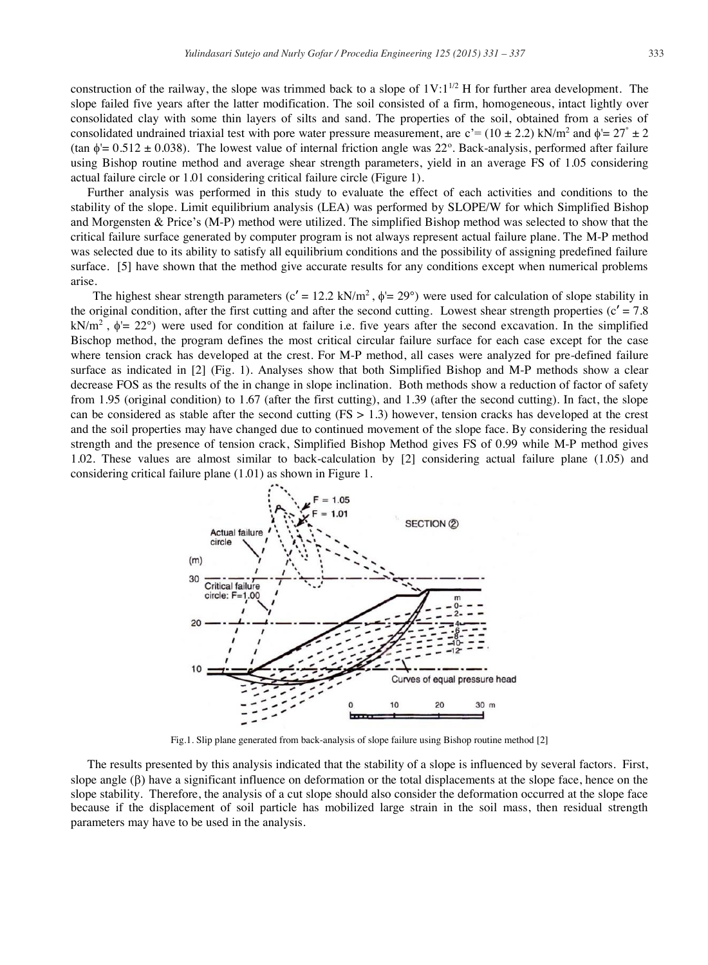construction of the railway, the slope was trimmed back to a slope of  $1V:1^{1/2}$  H for further area development. The slope failed five years after the latter modification. The soil consisted of a firm, homogeneous, intact lightly over consolidated clay with some thin layers of silts and sand. The properties of the soil, obtained from a series of consolidated undrained triaxial test with pore water pressure measurement, are  $c = (10 \pm 2.2)$  kN/m<sup>2</sup> and  $\phi = 27^\circ \pm 2$  $(\tan \phi = 0.512 \pm 0.038)$ . The lowest value of internal friction angle was 22°. Back-analysis, performed after failure using Bishop routine method and average shear strength parameters, yield in an average FS of 1.05 considering actual failure circle or 1.01 considering critical failure circle (Figure 1).

Further analysis was performed in this study to evaluate the effect of each activities and conditions to the stability of the slope. Limit equilibrium analysis (LEA) was performed by SLOPE/W for which Simplified Bishop and Morgensten & Price's (M-P) method were utilized. The simplified Bishop method was selected to show that the critical failure surface generated by computer program is not always represent actual failure plane. The M-P method was selected due to its ability to satisfy all equilibrium conditions and the possibility of assigning predefined failure surface. [5] have shown that the method give accurate results for any conditions except when numerical problems arise.

The highest shear strength parameters (c' = 12.2 kN/m<sup>2</sup>,  $\phi$ '= 29°) were used for calculation of slope stability in the original condition, after the first cutting and after the second cutting. Lowest shear strength properties ( $c' = 7.8$ ) kN/m<sup>2</sup>,  $\phi$ <sup>'</sup>= 22°) were used for condition at failure i.e. five years after the second excavation. In the simplified Bischop method, the program defines the most critical circular failure surface for each case except for the case where tension crack has developed at the crest. For M-P method, all cases were analyzed for pre-defined failure surface as indicated in [2] (Fig. 1). Analyses show that both Simplified Bishop and M-P methods show a clear decrease FOS as the results of the in change in slope inclination. Both methods show a reduction of factor of safety from 1.95 (original condition) to 1.67 (after the first cutting), and 1.39 (after the second cutting). In fact, the slope can be considered as stable after the second cutting  $(FS > 1.3)$  however, tension cracks has developed at the crest and the soil properties may have changed due to continued movement of the slope face. By considering the residual strength and the presence of tension crack, Simplified Bishop Method gives FS of 0.99 while M-P method gives 1.02. These values are almost similar to back-calculation by [2] considering actual failure plane (1.05) and considering critical failure plane (1.01) as shown in Figure 1.



Fig.1. Slip plane generated from back-analysis of slope failure using Bishop routine method [2]

The results presented by this analysis indicated that the stability of a slope is influenced by several factors. First, slope angle  $(\beta)$  have a significant influence on deformation or the total displacements at the slope face, hence on the slope stability. Therefore, the analysis of a cut slope should also consider the deformation occurred at the slope face because if the displacement of soil particle has mobilized large strain in the soil mass, then residual strength parameters may have to be used in the analysis.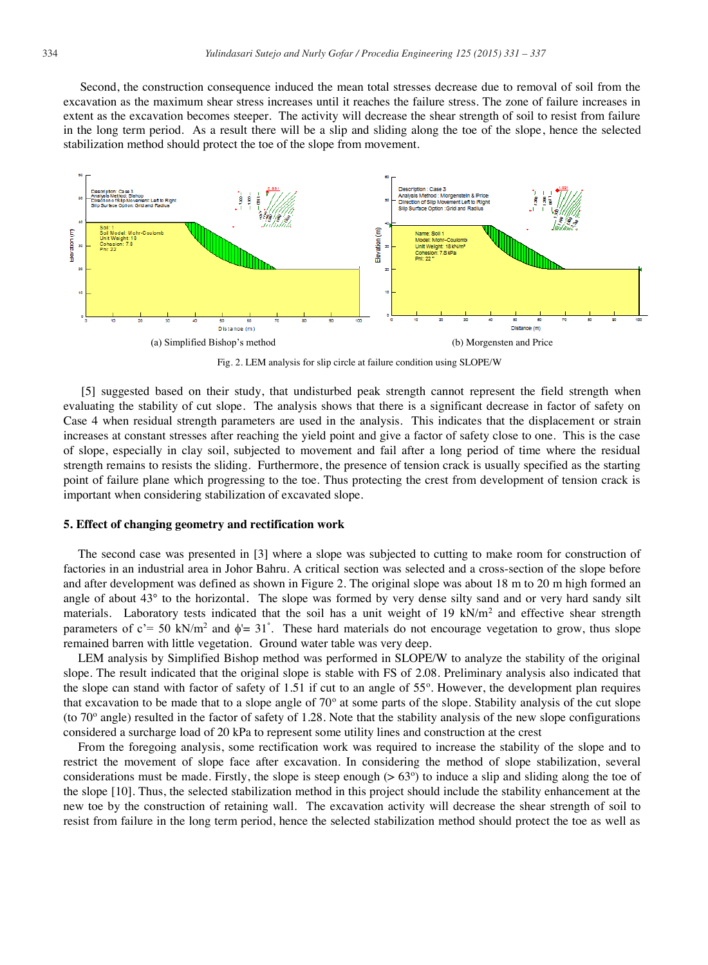Second, the construction consequence induced the mean total stresses decrease due to removal of soil from the excavation as the maximum shear stress increases until it reaches the failure stress. The zone of failure increases in extent as the excavation becomes steeper. The activity will decrease the shear strength of soil to resist from failure in the long term period. As a result there will be a slip and sliding along the toe of the slope, hence the selected stabilization method should protect the toe of the slope from movement.



Fig. 2. LEM analysis for slip circle at failure condition using SLOPE/W

 [5] suggested based on their study, that undisturbed peak strength cannot represent the field strength when evaluating the stability of cut slope. The analysis shows that there is a significant decrease in factor of safety on Case 4 when residual strength parameters are used in the analysis. This indicates that the displacement or strain increases at constant stresses after reaching the yield point and give a factor of safety close to one. This is the case of slope, especially in clay soil, subjected to movement and fail after a long period of time where the residual strength remains to resists the sliding. Furthermore, the presence of tension crack is usually specified as the starting point of failure plane which progressing to the toe. Thus protecting the crest from development of tension crack is important when considering stabilization of excavated slope.

#### **5. Effect of changing geometry and rectification work**

The second case was presented in [3] where a slope was subjected to cutting to make room for construction of factories in an industrial area in Johor Bahru. A critical section was selected and a cross-section of the slope before and after development was defined as shown in Figure 2. The original slope was about 18 m to 20 m high formed an angle of about 43° to the horizontal. The slope was formed by very dense silty sand and or very hard sandy silt materials. Laboratory tests indicated that the soil has a unit weight of 19 kN/ $m<sup>2</sup>$  and effective shear strength parameters of  $c' = 50 \text{ kN/m}^2$  and  $\phi = 31^{\circ}$ . These hard materials do not encourage vegetation to grow, thus slope remained barren with little vegetation. Ground water table was very deep.

LEM analysis by Simplified Bishop method was performed in SLOPE/W to analyze the stability of the original slope. The result indicated that the original slope is stable with FS of 2.08. Preliminary analysis also indicated that the slope can stand with factor of safety of 1.51 if cut to an angle of 55°. However, the development plan requires that excavation to be made that to a slope angle of 70° at some parts of the slope. Stability analysis of the cut slope (to  $70^\circ$  angle) resulted in the factor of safety of 1.28. Note that the stability analysis of the new slope configurations considered a surcharge load of 20 kPa to represent some utility lines and construction at the crest

From the foregoing analysis, some rectification work was required to increase the stability of the slope and to restrict the movement of slope face after excavation. In considering the method of slope stabilization, several considerations must be made. Firstly, the slope is steep enough  $(> 63^\circ)$  to induce a slip and sliding along the toe of the slope [10]. Thus, the selected stabilization method in this project should include the stability enhancement at the new toe by the construction of retaining wall. The excavation activity will decrease the shear strength of soil to resist from failure in the long term period, hence the selected stabilization method should protect the toe as well as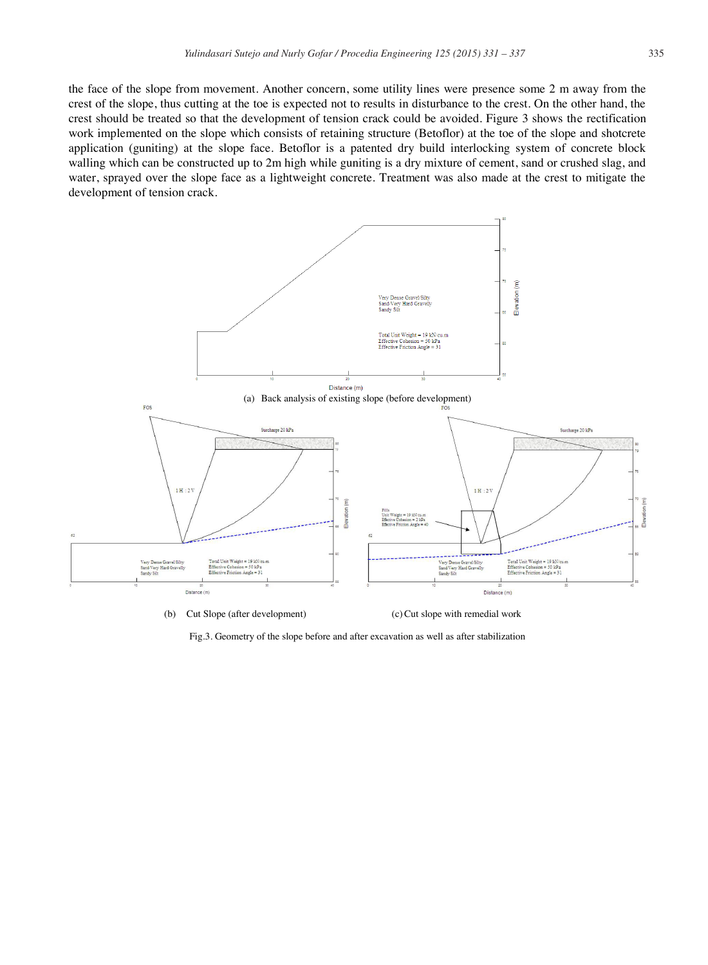the face of the slope from movement. Another concern, some utility lines were presence some 2 m away from the crest of the slope, thus cutting at the toe is expected not to results in disturbance to the crest. On the other hand, the crest should be treated so that the development of tension crack could be avoided. Figure 3 shows the rectification work implemented on the slope which consists of retaining structure (Betoflor) at the toe of the slope and shotcrete application (guniting) at the slope face. Betoflor is a patented dry build interlocking system of concrete block walling which can be constructed up to 2m high while guniting is a dry mixture of cement, sand or crushed slag, and water, sprayed over the slope face as a lightweight concrete. Treatment was also made at the crest to mitigate the development of tension crack.



(b) Cut Slope (after development) (c)Cut slope with remedial work

Fig.3. Geometry of the slope before and after excavation as well as after stabilization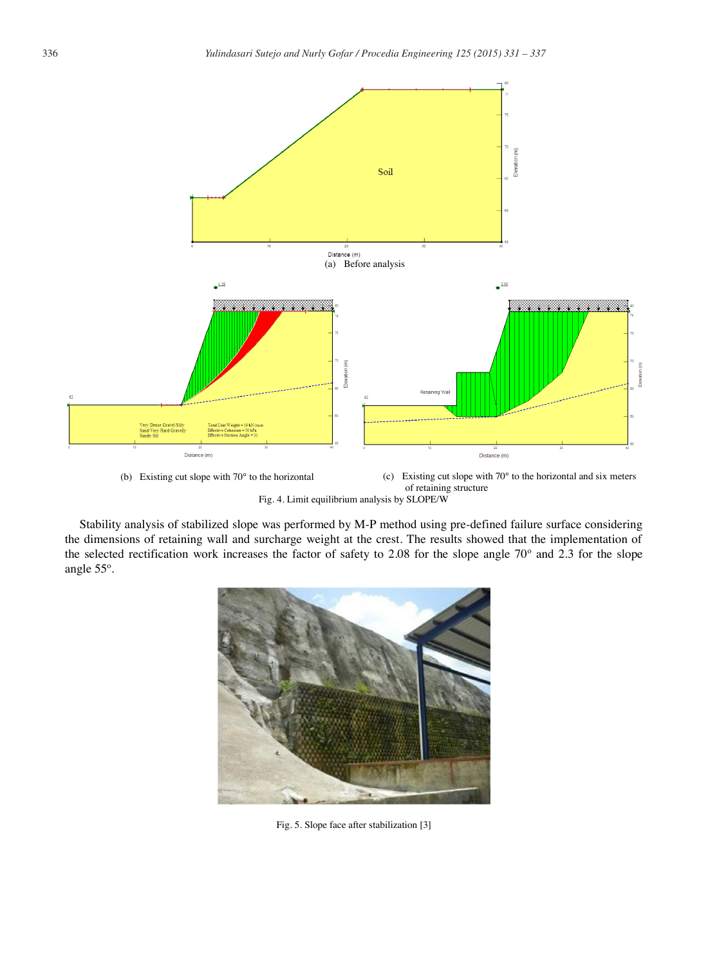

Fig. 4. Limit equilibrium analysis by SLOPE/W

Stability analysis of stabilized slope was performed by M-P method using pre-defined failure surface considering the dimensions of retaining wall and surcharge weight at the crest. The results showed that the implementation of the selected rectification work increases the factor of safety to  $2.08$  for the slope angle 70 $^{\circ}$  and 2.3 for the slope angle 55°.



Fig. 5. Slope face after stabilization [3]